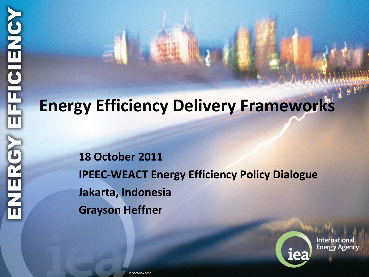# **Energy Efficiency Delivery Frameworks**

**18 October 2011 IPEEC-WEACT Energy Efficiency Policy Dialogue Jakarta, Indonesia Grayson Heffner**



**International Energy Agency**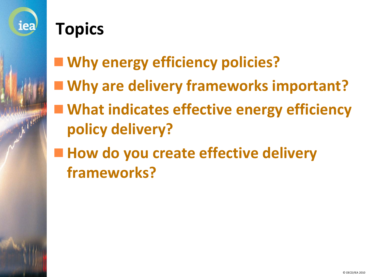

### **Topics**

- **Why energy efficiency policies?**
- **Why are delivery frameworks important?**
- What indicates effective energy efficiency **policy delivery?**
- How do you create effective delivery **frameworks?**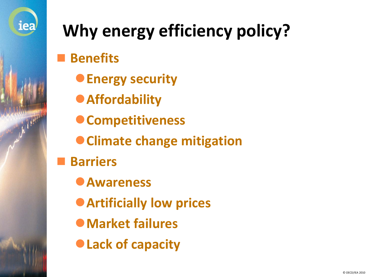

## **Why energy efficiency policy?**

**Benefits**

- **Energy security**
- **Affordability**
- **Competitiveness**
- **Climate change mitigation**
- **Barriers**
	- **Awareness**
	- **Artificially low prices**
	- **Market failures**
	- **Lack of capacity**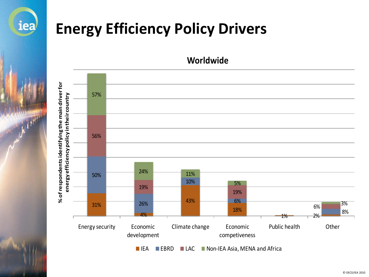

#### **Energy Efficiency Policy Drivers**



**Worldwide**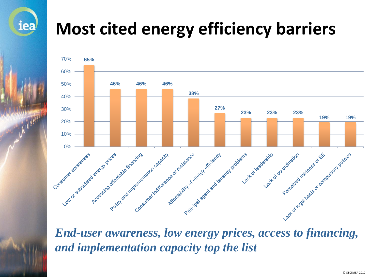**Most cited energy efficiency barriers**

iea



*and implementation capacity top the list*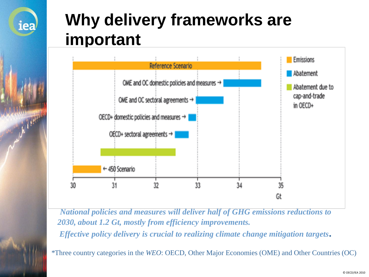## **Why delivery frameworks are important**

iea



*National policies and measures will deliver half of GHG emissions reductions to 2030, about 1.2 Gt, mostly from efficiency improvements. Effective policy delivery is crucial to realizing climate change mitigation targets***.**

*\**Three country categories in the *WEO*: OECD, Other Major Economies (OME) and Other Countries (OC)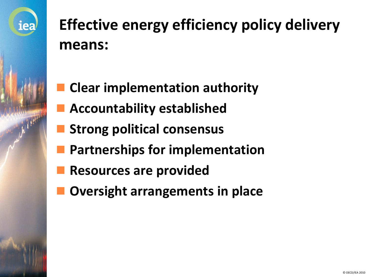

**Effective energy efficiency policy delivery means:**

- **Clear implementation authority**
- **Accountability established**
- **Strong political consensus**
- **Partnerships for implementation**
- **Resources are provided**
- **Oversight arrangements in place**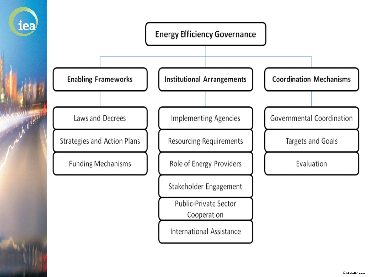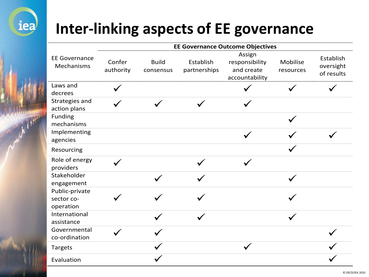

#### **Inter-linking aspects of EE governance**

|                                           | <b>EE Governance Outcome Objectives</b> |                           |                           |                                                          |                       |                                      |
|-------------------------------------------|-----------------------------------------|---------------------------|---------------------------|----------------------------------------------------------|-----------------------|--------------------------------------|
| <b>EE Governance</b><br>Mechanisms        | Confer<br>authority                     | <b>Build</b><br>consensus | Establish<br>partnerships | Assign<br>responsibility<br>and create<br>accountability | Mobilise<br>resources | Establish<br>oversight<br>of results |
| Laws and<br>decrees                       |                                         |                           |                           |                                                          |                       |                                      |
| Strategies and<br>action plans            |                                         |                           |                           |                                                          |                       |                                      |
| Funding<br>mechanisms                     |                                         |                           |                           |                                                          |                       |                                      |
| Implementing<br>agencies                  |                                         |                           |                           | $\checkmark$                                             |                       |                                      |
| Resourcing                                |                                         |                           |                           |                                                          |                       |                                      |
| Role of energy<br>providers               |                                         |                           |                           |                                                          |                       |                                      |
| Stakeholder<br>engagement                 |                                         |                           |                           |                                                          |                       |                                      |
| Public-private<br>sector co-<br>operation |                                         |                           |                           |                                                          |                       |                                      |
| International<br>assistance               |                                         |                           |                           |                                                          |                       |                                      |
| Governmental<br>co-ordination             |                                         |                           |                           |                                                          |                       |                                      |
| <b>Targets</b>                            |                                         |                           |                           |                                                          |                       |                                      |
| Evaluation                                |                                         |                           |                           |                                                          |                       |                                      |